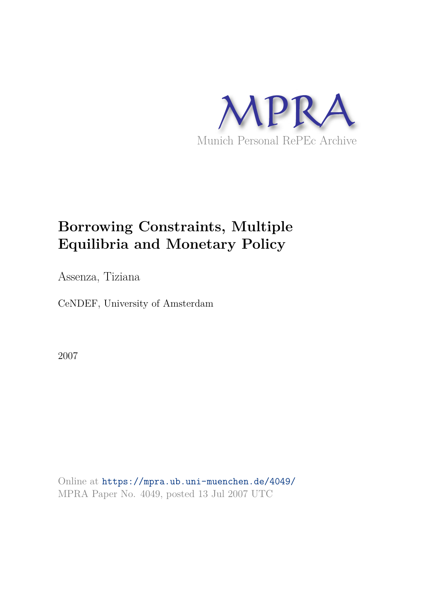

# **Borrowing Constraints, Multiple Equilibria and Monetary Policy**

Assenza, Tiziana

CeNDEF, University of Amsterdam

2007

Online at https://mpra.ub.uni-muenchen.de/4049/ MPRA Paper No. 4049, posted 13 Jul 2007 UTC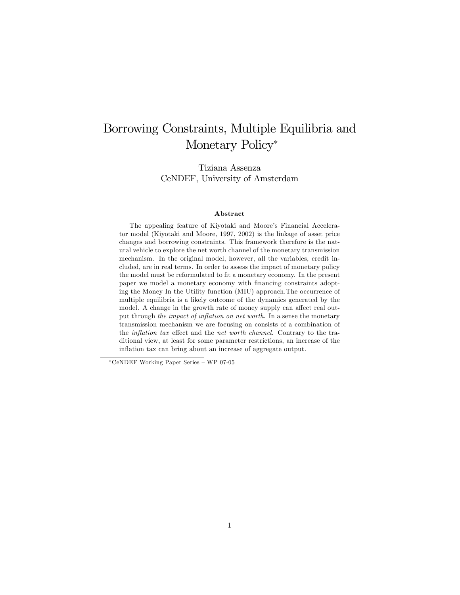# Borrowing Constraints, Multiple Equilibria and Monetary Policy<sup>\*</sup>

Tiziana Assenza CeNDEF, University of Amsterdam

#### Abstract

The appealing feature of Kiyotaki and Moore's Financial Accelerator model (Kiyotaki and Moore, 1997, 2002) is the linkage of asset price changes and borrowing constraints. This framework therefore is the natural vehicle to explore the net worth channel of the monetary transmission mechanism. In the original model, however, all the variables, credit included, are in real terms. In order to assess the impact of monetary policy the model must be reformulated to fit a monetary economy. In the present paper we model a monetary economy with Önancing constraints adopting the Money In the Utility function (MIU) approach.The occurrence of multiple equilibria is a likely outcome of the dynamics generated by the model. A change in the growth rate of money supply can affect real output through the impact of inflation on net worth. In a sense the monetary transmission mechanism we are focusing on consists of a combination of the *inflation tax* effect and the *net worth channel*. Contrary to the traditional view, at least for some parameter restrictions, an increase of the inflation tax can bring about an increase of aggregate output.

 $^*$ CeNDEF Working Paper Series – WP 07-05  $\,$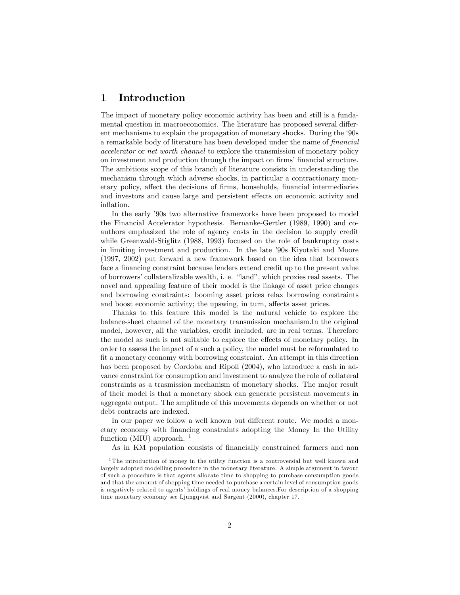## 1 Introduction

The impact of monetary policy economic activity has been and still is a fundamental question in macroeconomics. The literature has proposed several different mechanisms to explain the propagation of monetary shocks. During the '90s a remarkable body of literature has been developed under the name of *financial* accelerator or net worth channel to explore the transmission of monetary policy on investment and production through the impact on firms' financial structure. The ambitious scope of this branch of literature consists in understanding the mechanism through which adverse shocks, in particular a contractionary monetary policy, affect the decisions of firms, households, financial intermediaries and investors and cause large and persistent effects on economic activity and inflation.

In the early '90s two alternative frameworks have been proposed to model the Financial Accelerator hypothesis. Bernanke-Gertler (1989, 1990) and coauthors emphasized the role of agency costs in the decision to supply credit while Greenwald-Stiglitz (1988, 1993) focused on the role of bankruptcy costs in limiting investment and production. In the late '90s Kiyotaki and Moore (1997, 2002) put forward a new framework based on the idea that borrowers face a financing constraint because lenders extend credit up to the present value of borrowers' collateralizable wealth, i. e. "land", which proxies real assets. The novel and appealing feature of their model is the linkage of asset price changes and borrowing constraints: booming asset prices relax borrowing constraints and boost economic activity; the upswing, in turn, affects asset prices.

Thanks to this feature this model is the natural vehicle to explore the balance-sheet channel of the monetary transmission mechanism.In the original model, however, all the variables, credit included, are in real terms. Therefore the model as such is not suitable to explore the effects of monetary policy. In order to assess the impact of a such a policy, the model must be reformulated to fit a monetary economy with borrowing constraint. An attempt in this direction has been proposed by Cordoba and Ripoll (2004), who introduce a cash in advance constraint for consumption and investment to analyze the role of collateral constraints as a trasmission mechanism of monetary shocks. The major result of their model is that a monetary shock can generate persistent movements in aggregate output. The amplitude of this movements depends on whether or not debt contracts are indexed.

In our paper we follow a well known but different route. We model a monetary economy with Önancing constraints adopting the Money In the Utility function (MIU) approach.<sup>1</sup>

As in KM population consists of financially constrained farmers and non

<sup>&</sup>lt;sup>1</sup>The introduction of money in the utility function is a controversial but well known and largely adopted modelling procedure in the monetary literature. A simple argument in favour of such a procedure is that agents allocate time to shopping to purchase consumption goods and that the amount of shopping time needed to purchase a certain level of consumption goods is negatively related to agents' holdings of real money balances. For description of a shopping time monetary economy see Ljungqvist and Sargent (2000), chapter 17.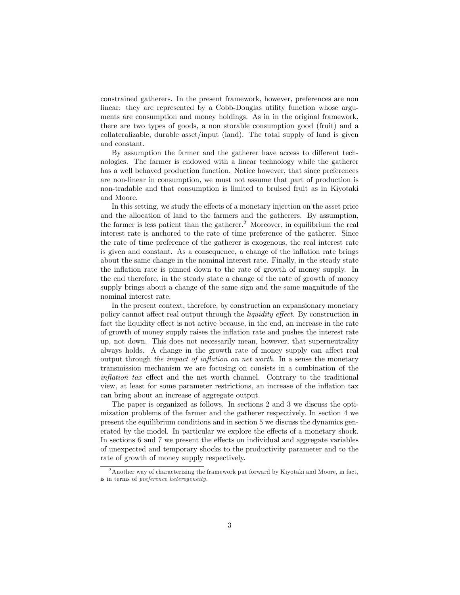constrained gatherers. In the present framework, however, preferences are non linear: they are represented by a Cobb-Douglas utility function whose arguments are consumption and money holdings. As in in the original framework, there are two types of goods, a non storable consumption good (fruit) and a collateralizable, durable asset/input (land). The total supply of land is given and constant.

By assumption the farmer and the gatherer have access to different technologies. The farmer is endowed with a linear technology while the gatherer has a well behaved production function. Notice however, that since preferences are non-linear in consumption, we must not assume that part of production is non-tradable and that consumption is limited to bruised fruit as in Kiyotaki and Moore.

In this setting, we study the effects of a monetary injection on the asset price and the allocation of land to the farmers and the gatherers. By assumption, the farmer is less patient than the gatherer.<sup>2</sup> Moreover, in equilibrium the real interest rate is anchored to the rate of time preference of the gatherer. Since the rate of time preference of the gatherer is exogenous, the real interest rate is given and constant. As a consequence, a change of the inflation rate brings about the same change in the nominal interest rate. Finally, in the steady state the inflation rate is pinned down to the rate of growth of money supply. In the end therefore, in the steady state a change of the rate of growth of money supply brings about a change of the same sign and the same magnitude of the nominal interest rate.

In the present context, therefore, by construction an expansionary monetary policy cannot affect real output through the *liquidity effect*. By construction in fact the liquidity effect is not active because, in the end, an increase in the rate of growth of money supply raises the ináation rate and pushes the interest rate up, not down. This does not necessarily mean, however, that superneutrality always holds. A change in the growth rate of money supply can affect real output through the impact of inflation on net worth. In a sense the monetary transmission mechanism we are focusing on consists in a combination of the  $inflation$  tax effect and the net worth channel. Contrary to the traditional view, at least for some parameter restrictions, an increase of the ináation tax can bring about an increase of aggregate output.

The paper is organized as follows. In sections 2 and 3 we discuss the optimization problems of the farmer and the gatherer respectively. In section 4 we present the equilibrium conditions and in section 5 we discuss the dynamics generated by the model. In particular we explore the effects of a monetary shock. In sections 6 and 7 we present the effects on individual and aggregate variables of unexpected and temporary shocks to the productivity parameter and to the rate of growth of money supply respectively.

<sup>2</sup>Another way of characterizing the framework put forward by Kiyotaki and Moore, in fact, is in terms of preference heterogeneity.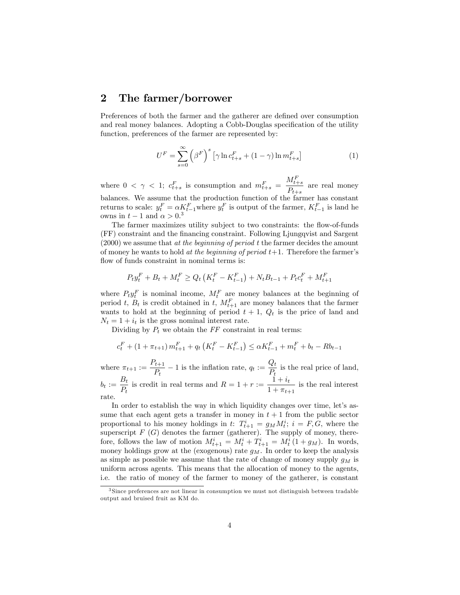#### 2 The farmer/borrower

Preferences of both the farmer and the gatherer are defined over consumption and real money balances. Adopting a Cobb-Douglas specification of the utility function, preferences of the farmer are represented by:

$$
U^{F} = \sum_{s=0}^{\infty} \left(\beta^{F}\right)^{s} \left[\gamma \ln c_{t+s}^{F} + (1-\gamma) \ln m_{t+s}^{F}\right]
$$
 (1)

where  $0 < \gamma < 1$ ;  $c_{t+s}^F$  is consumption and  $m_{t+s}^F =$  $M^F_{t+s}$  $\frac{n-t+s}{P_{t+s}}$  are real money balances. We assume that the production function of the farmer has constant returns to scale:  $y_t^F = \alpha K_{t-1}^F$  where  $y_t^F$  is output of the farmer,  $K_{t-1}^F$  is land he owns in  $t-1$  and  $\alpha > 0.3$ 

The farmer maximizes utility subject to two constraints: the flow-of-funds (FF) constraint and the Önancing constraint. Following Ljungqvist and Sargent  $(2000)$  we assume that at the beginning of period t the farmer decides the amount of money he wants to hold at the beginning of period  $t+1$ . Therefore the farmer's flow of funds constraint in nominal terms is:

$$
P_t y_t^F + B_t + M_t^F \ge Q_t \left( K_t^F - K_{t-1}^F \right) + N_t B_{t-1} + P_t c_t^F + M_{t+1}^F
$$

where  $P_t y_t^F$  is nominal income,  $M_t^F$  are money balances at the beginning of period t,  $B_t$  is credit obtained in t,  $M_{t+1}^F$  are money balances that the farmer wants to hold at the beginning of period  $t + 1$ ,  $Q_t$  is the price of land and  $N_t = 1 + i_t$  is the gross nominal interest rate.

Dividing by  $P_t$  we obtain the  $FF$  constraint in real terms:

$$
c_t^F + \left(1 + \pi_{t+1}\right) m_{t+1}^F + q_t \left(K_t^F - K_{t-1}^F\right) \le \alpha K_{t-1}^F + m_t^F + b_t - Rb_{t-1}
$$

where  $\pi_{t+1} := \frac{P_{t+1}}{P}$  $\frac{Q_t}{P_t} - 1$  is the inflation rate,  $q_t := \frac{Q_t}{P_t}$  $\frac{q_t}{P_t}$  is the real price of land,  $b_t := \frac{B_t}{B}$  $\frac{B_t}{P_t}$  is credit in real terms and  $R = 1 + r := \frac{1 + i_t}{1 + \pi_{t+1}}$  $\frac{1 + \sigma_t}{1 + \pi_{t+1}}$  is the real interest rate.

In order to establish the way in which liquidity changes over time, let's assume that each agent gets a transfer in money in  $t + 1$  from the public sector proportional to his money holdings in t:  $T_{t+1}^i = g_M M_t^i$ ;  $i = F, G$ , where the superscript  $F(G)$  denotes the farmer (gatherer). The supply of money, therefore, follows the law of motion  $M_{t+1}^i = M_t^i + T_{t+1}^i = M_t^i (1 + g_M)$ . In words, money holdings grow at the (exogenous) rate  $g_M$ . In order to keep the analysis as simple as possible we assume that the rate of change of money supply  $q_M$  is uniform across agents. This means that the allocation of money to the agents, i.e. the ratio of money of the farmer to money of the gatherer, is constant

<sup>&</sup>lt;sup>3</sup>Since preferences are not linear in consumption we must not distinguish between tradable output and bruised fruit as KM do.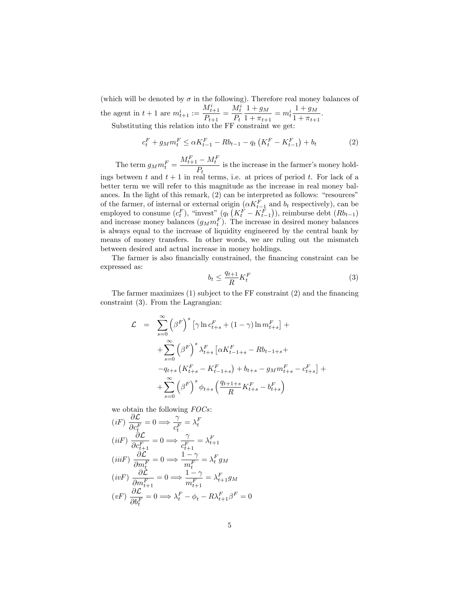(which will be denoted by  $\sigma$  in the following). Therefore real money balances of  $M^i_{t+1}$  $1+g_M$ 

the agent in  $t+1$  are  $m_{t+1}^i :=$  $\frac{M_{t+1}^i}{P_{t+1}} = \frac{M_t^i}{P_t}$  $P_t$  $\frac{1+g_M}{1+\pi_{t+1}} = m_t^i \frac{1+g_M}{1+\pi_{t+1}}$  $\frac{1 + g_M}{1 + \pi_{t+1}}$ . Substituting this relation into the FF constraint we get:

$$
c_t^F + g_M m_t^F \le \alpha K_{t-1}^F - R b_{t-1} - q_t \left( K_t^F - K_{t-1}^F \right) + b_t \tag{2}
$$

The term  $g_M m_t^F =$  $M_{t+1}^F - M_t^F$  $\frac{P_t}{P_t}$  is the increase in the farmer's money hold-

ings between  $t$  and  $t + 1$  in real terms, i.e. at prices of period  $t$ . For lack of a better term we will refer to this magnitude as the increase in real money balances. In the light of this remark,  $(2)$  can be interpreted as follows: "resources" of the farmer, of internal or external origin  $(\alpha K_{t-1}^F$  and  $b_t$  respectively), can be employed to consume  $(c_t^F)$ , "invest"  $(q_t (K_t^F - K_{t-1}^F))$ , reimburse debt  $(Rb_{t-1})$ and increase money balances  $(g_M m_t^F)$ . The increase in desired money balances is always equal to the increase of liquidity engineered by the central bank by means of money transfers. In other words, we are ruling out the mismatch between desired and actual increase in money holdings.

The farmer is also financially constrained, the financing constraint can be expressed as:

$$
b_t \le \frac{q_{t+1}}{R} K_t^F \tag{3}
$$

The farmer maximizes  $(1)$  subject to the FF constraint  $(2)$  and the financing constraint (3). From the Lagrangian:

$$
\mathcal{L} = \sum_{s=0}^{\infty} (\beta^F)^s \left[ \gamma \ln c_{t+s}^F + (1 - \gamma) \ln m_{t+s}^F \right] +
$$
  
+ 
$$
\sum_{s=0}^{\infty} (\beta^F)^s \lambda_{t+s}^F \left[ \alpha K_{t-1+s}^F - R b_{t-1+s} + \right. \\ - q_{t+s} \left( K_{t+s}^F - K_{t-1+s}^F \right) + b_{t+s} - g_M m_{t+s}^F - c_{t+s}^F \right] +
$$
  
+ 
$$
\sum_{s=0}^{\infty} (\beta^F)^s \phi_{t+s} \left( \frac{q_{t+1+s}}{R} K_{t+s}^F - b_{t+s}^F \right)
$$

we obtain the following  $FOCs$ :

$$
(iF) \frac{\partial \mathcal{L}}{\partial c_t^F} = 0 \Longrightarrow \frac{\gamma}{c_t^F} = \lambda_t^F
$$
  
\n
$$
(iiF) \frac{\partial \mathcal{L}}{\partial c_{t+1}^F} = 0 \Longrightarrow \frac{\gamma}{c_{t+1}^F} = \lambda_{t+1}^F
$$
  
\n
$$
(iiiF) \frac{\partial \mathcal{L}}{\partial m_t^F} = 0 \Longrightarrow \frac{1-\gamma}{m_t^F} = \lambda_t^F g_M
$$
  
\n
$$
(ivF) \frac{\partial \mathcal{L}}{\partial m_{t+1}^F} = 0 \Longrightarrow \frac{1-\gamma}{m_{t+1}^F} = \lambda_{t+1}^F g_M
$$
  
\n
$$
(vF) \frac{\partial \mathcal{L}}{\partial b_t^F} = 0 \Longrightarrow \lambda_t^F - \phi_t - R \lambda_{t+1}^F \beta^F = 0
$$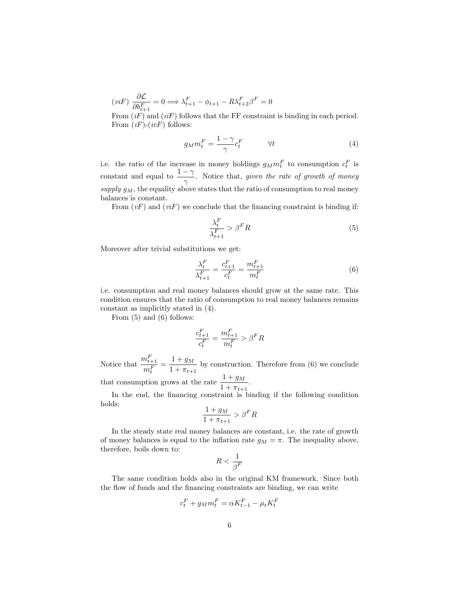$(viF) \frac{\partial \mathcal{L}}{\partial F}$  $\partial b^F_{t+1}$  $= 0 \Longrightarrow \lambda_{t+1}^F - \phi_{t+1} - R \lambda_{t+2}^F \beta^F = 0$ 

From  $(iF)$  and  $(iF)$  follows that the FF constraint is binding in each period. From  $(iF)-(ivF)$  follows:

$$
g_M m_t^F = \frac{1 - \gamma}{\gamma} c_t^F \qquad \forall t \tag{4}
$$

i.e. the ratio of the increase in money holdings  $g_M m_t^F$  to consumption  $c_t^F$  is constant and equal to  $\frac{1-\gamma}{\gamma}$ . Notice that, given the rate of growth of money supply  $g_M$ , the equality above states that the ratio of consumption to real money balances is constant.

From  $(vF)$  and  $(viF)$  we conclude that the financing constraint is binding if:

$$
\frac{\lambda_t^F}{\lambda_{t+1}^F} > \beta^F R \tag{5}
$$

Moreover after trivial substitutions we get:

$$
\frac{\lambda_t^F}{\lambda_{t+1}^F} = \frac{c_{t+1}^F}{c_t^F} = \frac{m_{t+1}^F}{m_t^F}
$$
\n(6)

i.e. consumption and real money balances should grow at the same rate. This condition ensures that the ratio of consumption to real money balances remains constant as implicitly stated in (4).

From (5) and (6) follows:

$$
\frac{c_{t+1}^F}{c_t^F} = \frac{m_{t+1}^F}{m_t^F} > \beta^F R
$$

Notice that  $\frac{m_{t+1}^F}{F}$  $m_t^F$  $=\frac{1+g_M}{1+g_M}$  $\frac{1 + 3m}{1 + \pi_{t+1}}$  by construction. Therefore from (6) we conclude

that consumption grows at the rate  $\frac{1+g_M}{1+\pi_{t+1}}$ .

In the end, the financing constraint is binding if the following condition holds:

$$
\frac{1+g_M}{1+\pi_{t+1}} > \beta^F R
$$

In the steady state real money balances are constant, i.e. the rate of growth of money balances is equal to the inflation rate  $g_M = \pi$ . The inequality above, therefore, boils down to:

$$
R<\frac{1}{\beta^F}
$$

The same condition holds also in the original KM framework. Since both the flow of funds and the financing constraints are binding, we can write

$$
c_t^F + g_M m_t^F = \alpha K_{t-1}^F - \mu_t K_t^F
$$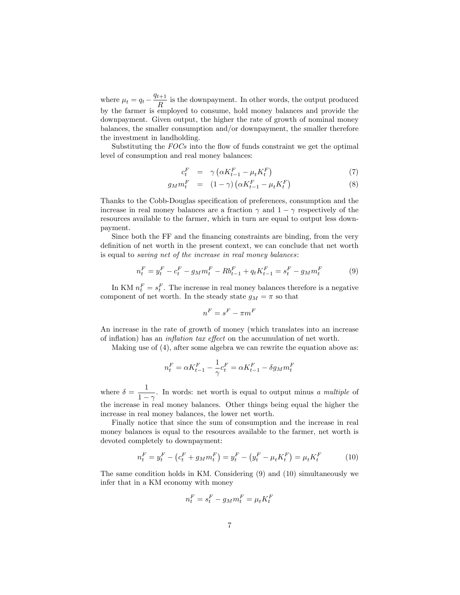where  $\mu_t = q_t - \frac{q_{t+1}}{R}$  $\frac{1}{R}$  is the downpayment. In other words, the output produced by the farmer is employed to consume, hold money balances and provide the downpayment. Given output, the higher the rate of growth of nominal money balances, the smaller consumption and/or downpayment, the smaller therefore the investment in landholding.

Substituting the  $FOCs$  into the flow of funds constraint we get the optimal level of consumption and real money balances:

$$
c_t^F = \gamma \left( \alpha K_{t-1}^F - \mu_t K_t^F \right) \tag{7}
$$

$$
g_M m_t^F = (1 - \gamma) \left( \alpha K_{t-1}^F - \mu_t K_t^F \right) \tag{8}
$$

Thanks to the Cobb-Douglas specification of preferences, consumption and the increase in real money balances are a fraction  $\gamma$  and  $1 - \gamma$  respectively of the resources available to the farmer, which in turn are equal to output less downpayment.

Since both the FF and the Önancing constraints are binding, from the very definition of net worth in the present context, we can conclude that net worth is equal to saving net of the increase in real money balances:

$$
n_t^F = y_t^F - c_t^F - g_M m_t^F - R b_{t-1}^F + q_t K_{t-1}^F = s_t^F - g_M m_t^F
$$
 (9)

In KM  $n_t^F = s_t^F$ . The increase in real money balances therefore is a negative component of net worth. In the steady state  $g_M = \pi$  so that

$$
n^F = s^F - \pi m^F
$$

An increase in the rate of growth of money (which translates into an increase of inflation) has an *inflation tax effect* on the accumulation of net worth.

Making use of (4), after some algebra we can rewrite the equation above as:

$$
n^F_t = \alpha K^F_{t-1} - \frac{1}{\gamma} c^F_t = \alpha K^F_{t-1} - \delta g_M m^F_t
$$

where  $\delta = \frac{1}{1}$  $\frac{1}{1-\gamma}$ . In words: net worth is equal to output minus a multiple of the increase in real money balances. Other things being equal the higher the increase in real money balances, the lower net worth.

Finally notice that since the sum of consumption and the increase in real money balances is equal to the resources available to the farmer, net worth is devoted completely to downpayment:

$$
n_t^F = y_t^F - (c_t^F + g_M m_t^F) = y_t^F - (y_t^F - \mu_t K_t^F) = \mu_t K_t^F
$$
 (10)

The same condition holds in KM. Considering (9) and (10) simultaneously we infer that in a KM economy with money

$$
n_t^F = s_t^F - g_M m_t^F = \mu_t K_t^F
$$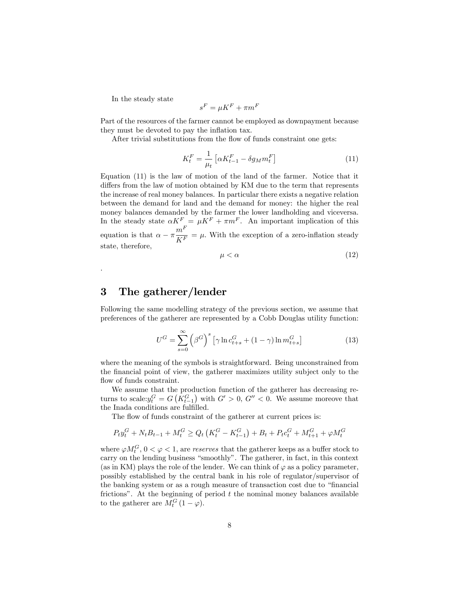In the steady state

$$
s^F = \mu K^F + \pi m^F
$$

Part of the resources of the farmer cannot be employed as downpayment because they must be devoted to pay the inflation tax.

After trivial substitutions from the flow of funds constraint one gets:

$$
K_t^F = \frac{1}{\mu_t} \left[ \alpha K_{t-1}^F - \delta g_M m_t^F \right] \tag{11}
$$

Equation (11) is the law of motion of the land of the farmer. Notice that it differs from the law of motion obtained by KM due to the term that represents the increase of real money balances. In particular there exists a negative relation between the demand for land and the demand for money: the higher the real money balances demanded by the farmer the lower landholding and viceversa. In the steady state  $\alpha K^F = \mu K^F + \pi m^F$ . An important implication of this equation is that  $\alpha - \pi \frac{m^F}{K^F}$  $\frac{W}{K} = \mu$ . With the exception of a zero-inflation steady state, therefore,

$$
\mu < \alpha \tag{12}
$$

#### 3 The gatherer/lender

:

Following the same modelling strategy of the previous section, we assume that preferences of the gatherer are represented by a Cobb Douglas utility function:

$$
U^G = \sum_{s=0}^{\infty} \left(\beta^G\right)^s \left[\gamma \ln c_{t+s}^G + (1-\gamma) \ln m_{t+s}^G\right]
$$
 (13)

where the meaning of the symbols is straightforward. Being unconstrained from the financial point of view, the gatherer maximizes utility subject only to the flow of funds constraint.

We assume that the production function of the gatherer has decreasing returns to scale: $y_t^G = G\left(\dot{K}_{t-1}^G\right)$  with  $G' > 0$ ,  $G'' < 0$ . We assume moreove that the Inada conditions are fulfilled.

The flow of funds constraint of the gatherer at current prices is:

$$
P_t y_t^G + N_t B_{t-1} + M_t^G \ge Q_t \left( K_t^G - K_{t-1}^G \right) + B_t + P_t c_t^G + M_{t+1}^G + \varphi M_t^G
$$

where  $\varphi M_t^G$ ,  $0 < \varphi < 1$ , are *reserves* that the gatherer keeps as a buffer stock to carry on the lending business "smoothly". The gatherer, in fact, in this context (as in KM) plays the role of the lender. We can think of  $\varphi$  as a policy parameter, possibly established by the central bank in his role of regulator/supervisor of the banking system or as a rough measure of transaction cost due to "financial" frictions". At the beginning of period  $t$  the nominal money balances available to the gatherer are  $M_t^G(1-\varphi)$ .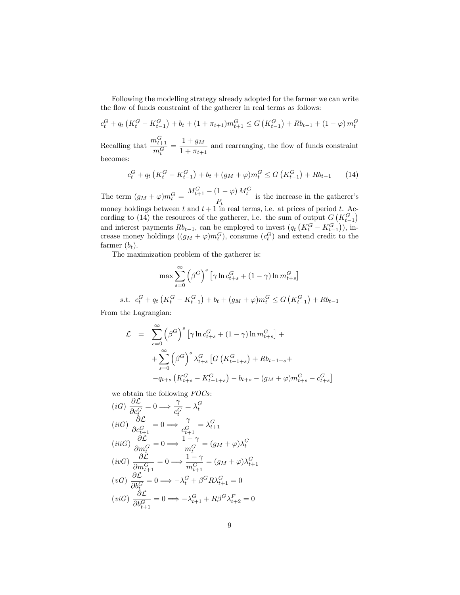Following the modelling strategy already adopted for the farmer we can write the flow of funds constraint of the gatherer in real terms as follows:

$$
c_t^G + q_t \left( K_t^G - K_{t-1}^G \right) + b_t + (1 + \pi_{t+1}) m_{t+1}^G \le G \left( K_{t-1}^G \right) + R b_{t-1} + (1 - \varphi) m_t^G
$$

Recalling that  $\frac{m_{t+1}^G}{G}$  $m_t^G$  $=\frac{1+g_M}{1+g_M}$  $\frac{1 + 3m}{1 + \pi_{t+1}}$  and rearranging, the flow of funds constraint becomes:

$$
c_t^G + q_t \left( K_t^G - K_{t-1}^G \right) + b_t + (g_M + \varphi) m_t^G \le G \left( K_{t-1}^G \right) + R b_{t-1} \tag{14}
$$

The term  $(g_M + \varphi) m_t^G =$  $M_{t+1}^G - (1 - \varphi) M_t^G$  $\frac{1}{P_t}$  is the increase in the gatherer's money holdings between  $t$  and  $t + 1$  in real terms, i.e. at prices of period  $t$ . According to (14) the resources of the gatherer, i.e. the sum of output  $G\left(K_{t-1}^G\right)$ and interest payments  $Rb_{t-1}$ , can be employed to invest  $(q_t (K_t^G - K_{t-1}^G))$ , increase money holdings  $((g_M + \varphi)m_t^G)$ , consume  $(c_t^G)$  and extend credit to the farmer  $(b_t)$ .

The maximization problem of the gatherer is:

$$
\max \sum_{s=0}^{\infty} (\beta^G)^s \left[ \gamma \ln c_{t+s}^G + (1 - \gamma) \ln m_{t+s}^G \right]
$$
  
.*t.*  $c_t^G + q_t \left( K_t^G - K_{t-1}^G \right) + b_t + (g_M + \varphi) m_t^G \le G \left( K_{t-1}^G \right) + R b_{t-1}$ 

From the Lagrangian:

 $\overline{s}$ 

$$
\mathcal{L} = \sum_{s=0}^{\infty} (\beta^G)^s \left[ \gamma \ln c_{t+s}^G + (1 - \gamma) \ln m_{t+s}^G \right] +
$$
  
+ 
$$
\sum_{s=0}^{\infty} (\beta^G)^s \lambda_{t+s}^G \left[ G \left( K_{t-1+s}^G \right) + R b_{t-1+s} +
$$
  
- 
$$
q_{t+s} \left( K_{t+s}^G - K_{t-1+s}^G \right) - b_{t+s} - (g_M + \varphi) m_{t+s}^G - c_{t+s}^G \right]
$$

we obtain the following  $FOCs$ :

$$
(iG) \frac{\partial \mathcal{L}}{\partial c_t^G} = 0 \Longrightarrow \frac{\gamma}{c_t^G} = \lambda_t^G
$$
  
\n
$$
(iiG) \frac{\partial \mathcal{L}}{\partial c_{t+1}^G} = 0 \Longrightarrow \frac{\gamma}{c_{t+1}^G} = \lambda_{t+1}^G
$$
  
\n
$$
(iiiG) \frac{\partial \mathcal{L}}{\partial m_t^G} = 0 \Longrightarrow \frac{1 - \gamma}{m_t^G} = (g_M + \varphi)\lambda_t^G
$$
  
\n
$$
(ivG) \frac{\partial \mathcal{L}}{\partial m_{t+1}^G} = 0 \Longrightarrow \frac{1 - \gamma}{m_{t+1}^G} = (g_M + \varphi)\lambda_{t+1}^G
$$
  
\n
$$
(vG) \frac{\partial \mathcal{L}}{\partial b_t^G} = 0 \Longrightarrow -\lambda_t^G + \beta^G R \lambda_{t+1}^G = 0
$$
  
\n
$$
(viG) \frac{\partial \mathcal{L}}{\partial b_{t+1}^G} = 0 \Longrightarrow -\lambda_{t+1}^G + R \beta^G \lambda_{t+2}^F = 0
$$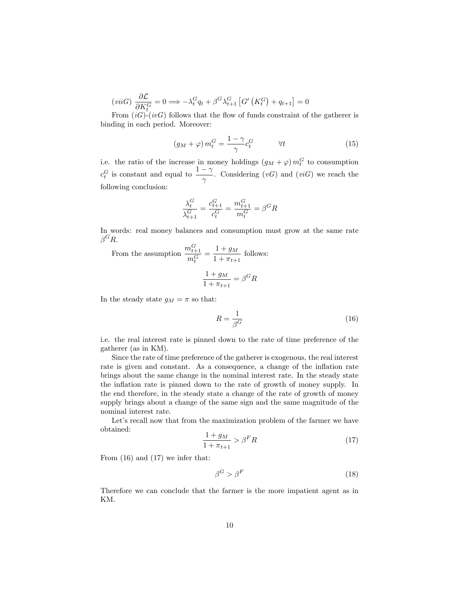$(viiG) \frac{\partial \mathcal{L}}{\partial K}$  $\partial K_t^G$  $= 0 \Longrightarrow -\lambda_t^G q_t + \beta^G \lambda_{t+1}^G \left[ G' \left( K^G_t \right) + q_{t+1} \right] = 0$ 

From  $(iG)-(ivG)$  follows that the flow of funds constraint of the gatherer is binding in each period. Moreover:

$$
(g_M + \varphi) m_t^G = \frac{1 - \gamma}{\gamma} c_t^G \qquad \forall t \tag{15}
$$

i.e. the ratio of the increase in money holdings  $(g_M + \varphi) m_t^G$  to consumption  $c_t^G$  is constant and equal to  $\frac{1-\gamma}{\gamma}$ . Considering  $(vG)$  and  $(viG)$  we reach the following conclusion:

$$
\frac{\lambda_{t}^{G}}{\lambda_{t+1}^{G}} = \frac{c_{t+1}^{G}}{c_{t}^{G}} = \frac{m_{t+1}^{G}}{m_{t}^{G}} = \beta^{G} R
$$

In words: real money balances and consumption must grow at the same rate  $\beta^GR$ .

From the assumption  $\frac{m_{t+1}^G}{G}$  $m_t^G$  $=\frac{1+g_M}{1+g_M}$  $\frac{1 + 3m}{1 + \pi_{t+1}}$  follows:

$$
\frac{1+g_M}{1+\pi_{t+1}} = \beta^G R
$$

In the steady state  $g_M = \pi$  so that:

$$
R = \frac{1}{\beta^G} \tag{16}
$$

i.e. the real interest rate is pinned down to the rate of time preference of the gatherer (as in KM).

Since the rate of time preference of the gatherer is exogenous, the real interest rate is given and constant. As a consequence, a change of the inflation rate brings about the same change in the nominal interest rate. In the steady state the inflation rate is pinned down to the rate of growth of money supply. In the end therefore, in the steady state a change of the rate of growth of money supply brings about a change of the same sign and the same magnitude of the nominal interest rate.

Let's recall now that from the maximization problem of the farmer we have obtained:

$$
\frac{1+g_M}{1+\pi_{t+1}} > \beta^F R \tag{17}
$$

From (16) and (17) we infer that:

$$
\beta^G > \beta^F \tag{18}
$$

Therefore we can conclude that the farmer is the more impatient agent as in KM.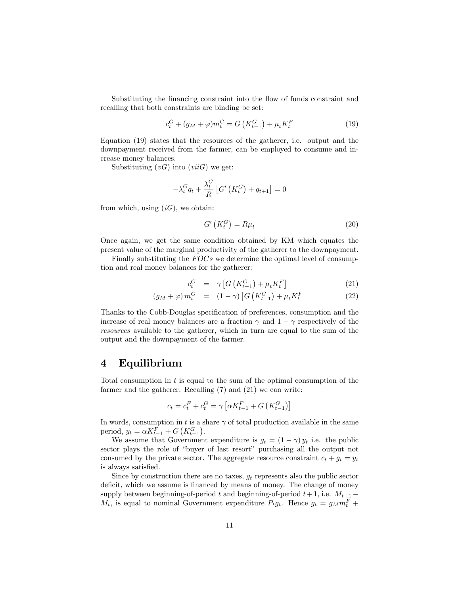Substituting the financing constraint into the flow of funds constraint and recalling that both constraints are binding be set:

$$
c_t^G + (g_M + \varphi)m_t^G = G(K_{t-1}^G) + \mu_t K_t^F
$$
\n(19)

Equation (19) states that the resources of the gatherer, i.e. output and the downpayment received from the farmer, can be employed to consume and increase money balances.

Substituting  $(vG)$  into  $(viiG)$  we get:

$$
-\lambda_t^G q_t + \frac{\lambda_t^G}{R} \left[ G' \left( K_t^G \right) + q_{t+1} \right] = 0
$$

from which, using  $(iG)$ , we obtain:

$$
G'\left(K_t^G\right) = R\mu_t\tag{20}
$$

Once again, we get the same condition obtained by KM which equates the present value of the marginal productivity of the gatherer to the downpayment.

Finally substituting the  $FOCs$  we determine the optimal level of consumption and real money balances for the gatherer:

$$
c_t^G = \gamma \left[ G \left( K_{t-1}^G \right) + \mu_t K_t^F \right] \tag{21}
$$

$$
(g_M + \varphi) m_t^G = (1 - \gamma) \left[ G \left( K_{t-1}^G \right) + \mu_t K_t^F \right] \tag{22}
$$

Thanks to the Cobb-Douglas specification of preferences, consumption and the increase of real money balances are a fraction  $\gamma$  and  $1 - \gamma$  respectively of the resources available to the gatherer, which in turn are equal to the sum of the output and the downpayment of the farmer.

#### 4 Equilibrium

Total consumption in  $t$  is equal to the sum of the optimal consumption of the farmer and the gatherer. Recalling (7) and (21) we can write:

$$
c_t = c_t^F + c_t^G = \gamma \left[ \alpha K_{t-1}^F + G\left( K_{t-1}^G \right) \right]
$$

In words, consumption in t is a share  $\gamma$  of total production available in the same period,  $y_t = \alpha K_{t-1}^F + G(K_{t-1}^G)$ .

We assume that Government expenditure is  $g_t = (1 - \gamma) y_t$  i.e. the public sector plays the role of "buyer of last resort" purchasing all the output not consumed by the private sector. The aggregate resource constraint  $c_t + g_t = y_t$ is always satisfied.

Since by construction there are no taxes,  $q_t$  represents also the public sector deficit, which we assume is financed by means of money. The change of money supply between beginning-of-period t and beginning-of-period  $t+1$ , i.e.  $M_{t+1}$  –  $M_t$ , is equal to nominal Government expenditure  $P_t g_t$ . Hence  $g_t = g_M m_t^F +$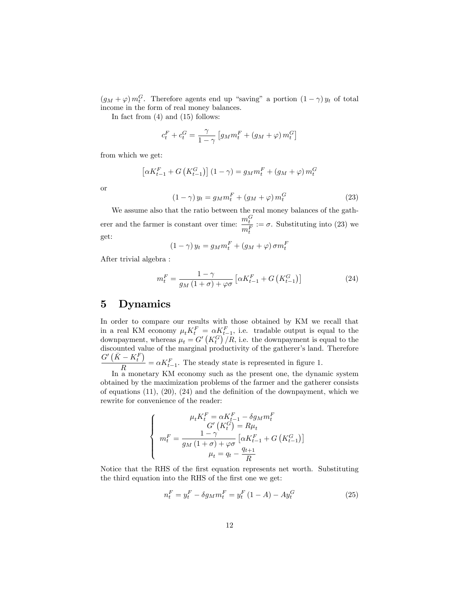$(g_M + \varphi) m_t^G$ . Therefore agents end up "saving" a portion  $(1 - \gamma) y_t$  of total income in the form of real money balances.

In fact from  $(4)$  and  $(15)$  follows:

$$
c_t^F + c_t^G = \frac{\gamma}{1 - \gamma} \left[ g_M m_t^F + (g_M + \varphi) m_t^G \right]
$$

from which we get:

$$
\left[\alpha K_{t-1}^{F} + G\left(K_{t-1}^{G}\right)\right](1-\gamma) = g_{M} m_{t}^{F} + \left(g_{M} + \varphi\right) m_{t}^{G}
$$

or

$$
(1 - \gamma) y_t = g_M m_t^F + (g_M + \varphi) m_t^G \tag{23}
$$

We assume also that the ratio between the real money balances of the gatherer and the farmer is constant over time:  $\frac{m_t^G}{m_t^F}$  $:= \sigma$ . Substituting into (23) we get:

$$
(1 - \gamma) y_t = g_M m_t^F + (g_M + \varphi) \sigma m_t^F
$$

After trivial algebra :

$$
m_t^F = \frac{1 - \gamma}{g_M \left(1 + \sigma\right) + \varphi \sigma} \left[ \alpha K_{t-1}^F + G\left(K_{t-1}^G\right) \right] \tag{24}
$$

#### 5 Dynamics

In order to compare our results with those obtained by KM we recall that in a real KM economy  $\mu_t K_t^F = \alpha_{\alpha,t-1}^F$ , i.e. tradable output is equal to the downpayment, whereas  $\mu_t = G' (K_t^G)' / R$ , i.e. the downpayment is equal to the discounted value of the marginal productivity of the gatherer's land. Therefore  $G'\left(\bar{K} - K_t^F\right)$  $\frac{K_t}{R}$  =  $\alpha K_{t-1}^F$ . The steady state is represented in figure 1.

In a monetary KM economy such as the present one, the dynamic system obtained by the maximization problems of the farmer and the gatherer consists of equations  $(11)$ ,  $(20)$ ,  $(24)$  and the definition of the downpayment, which we rewrite for convenience of the reader:

$$
\left\{ \begin{array}{c} \mu_t K_t^F = \alpha K_{t-1}^F - \delta g_M m_t^F \\ G' \left( K_t^G \right) = R \mu_t \\ m_t^F = \frac{1 - \gamma}{g_M \left( 1 + \sigma \right) + \varphi \sigma} \left[ \alpha K_{t-1}^F + G \left( K_{t-1}^G \right) \right] \\ \mu_t = q_t - \frac{q_{t+1}}{R} \end{array} \right.
$$

Notice that the RHS of the first equation represents net worth. Substituting the third equation into the RHS of the first one we get:

$$
n_t^F = y_t^F - \delta g_M m_t^F = y_t^F (1 - A) - A y_t^G
$$
\n(25)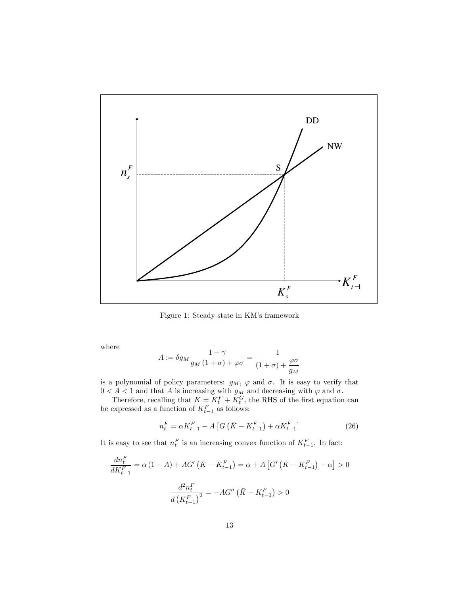

Figure 1: Steady state in KM's framework

where

$$
A := \delta g_M \frac{1 - \gamma}{g_M \left(1 + \sigma\right) + \varphi \sigma} = \frac{1}{\left(1 + \sigma\right) + \frac{\varphi \sigma}{g_M}}
$$

is a polynomial of policy parameters:  $g_M$ ,  $\varphi$  and  $\sigma$ . It is easy to verify that  $0 < A < 1$  and that A is increasing with  $g_M$  and decreasing with  $\varphi$  and  $\sigma$ .

Therefore, recalling that  $\bar{K} = K_t^F + K_t^G$ , the RHS of the first equation can be expressed as a function of  $K_{t-1}^F$  as follows:

$$
n_t^F = \alpha K_{t-1}^F - A \left[ G \left( \bar{K} - K_{t-1}^F \right) + \alpha K_{t-1}^F \right] \tag{26}
$$

It is easy to see that  $n_t^F$  is an increasing convex function of  $K_{t-1}^F$ . In fact:

$$
\frac{dn_t^F}{dK_{t-1}^F} = \alpha (1 - A) + AG'\left(\bar{K} - K_{t-1}^F\right) = \alpha + A\left[G'\left(\bar{K} - K_{t-1}^F\right) - \alpha\right] > 0
$$

$$
\frac{d^2 n_t^F}{d\left(K_{t-1}^F\right)^2} = -AG''\left(\bar{K} - K_{t-1}^F\right) > 0
$$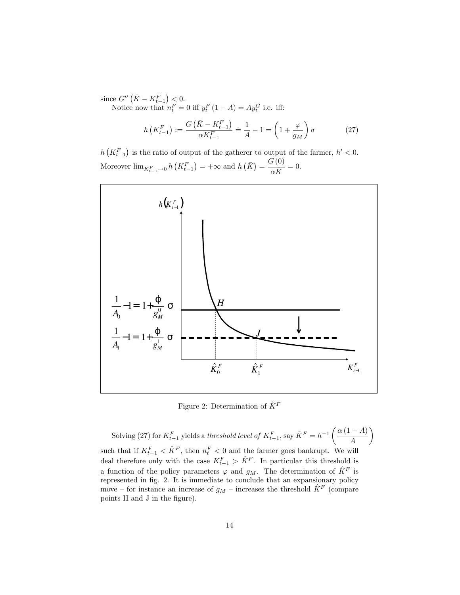since  $G''(\bar{K} - K_{t-1}^F) \leq 0$ .

Notice now that  $n_t^F = 0$  iff  $y_t^F(1 - A) = Ay_t^G$  i.e. iff:

$$
h\left(K_{t-1}^{F}\right) := \frac{G\left(\bar{K} - K_{t-1}^{F}\right)}{\alpha K_{t-1}^{F}} = \frac{1}{A} - 1 = \left(1 + \frac{\varphi}{g_M}\right)\sigma\tag{27}
$$

 $h\left(K_{t-1}^F\right)$  is the ratio of output of the gatherer to output of the farmer,  $h' < 0$ . Moreover  $\lim_{K_{t-1}^F \to 0} h(K_{t-1}^F) = +\infty$  and  $h(\bar{K}) = \frac{G(0)}{e^{\bar{K}}}$  $\frac{\partial}{\partial \overline{K}} = 0.$ 



Figure 2: Determination of  $\hat{K}^F$ 

Solving (27) for  $K_{t-1}^F$  yields a threshold level of  $K_{t-1}^F$ , say  $\hat{K}^F = h^{-1} \left( \frac{\alpha (1-A)}{4} \right)$ A  $\setminus$ such that if  $K_{t-1}^F < \hat{K}^F$ , then  $n_t^F < 0$  and the farmer goes bankrupt. We will deal therefore only with the case  $K_{t-1}^F > \hat{K}^F$ . In particular this threshold is a function of the policy parameters  $\varphi$  and  $g_M$ . The determination of  $\hat{K}^F$  is represented in fig. 2. It is immediate to conclude that an expansionary policy move – for instance an increase of  $g_M$  – increases the threshold  $\hat{K}^F$  (compare points H and J in the figure).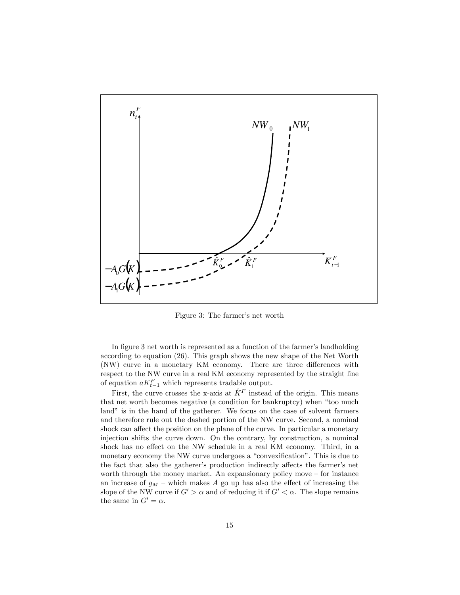

Figure 3: The farmer's net worth

In figure 3 net worth is represented as a function of the farmer's landholding according to equation (26). This graph shows the new shape of the Net Worth (NW) curve in a monetary KM economy. There are three differences with respect to the NW curve in a real KM economy represented by the straight line of equation  $aK_{t-1}^F$  which represents tradable output.

First, the curve crosses the x-axis at  $\hat{K}^F$  instead of the origin. This means that net worth becomes negative (a condition for bankruptcy) when "too much land" is in the hand of the gatherer. We focus on the case of solvent farmers and therefore rule out the dashed portion of the NW curve. Second, a nominal shock can affect the position on the plane of the curve. In particular a monetary injection shifts the curve down. On the contrary, by construction, a nominal shock has no effect on the NW schedule in a real KM economy. Third, in a monetary economy the NW curve undergoes a "convexification". This is due to the fact that also the gatherer's production indirectly affects the farmer's net worth through the money market. An expansionary policy move  $\sim$  for instance an increase of  $g_M$  – which makes A go up has also the effect of increasing the slope of the NW curve if  $G' > \alpha$  and of reducing it if  $G' < \alpha$ . The slope remains the same in  $G' = \alpha$ .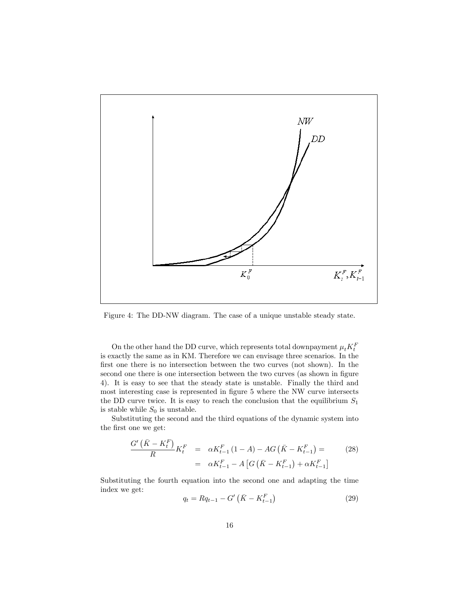

Figure 4: The DD-NW diagram. The case of a unique unstable steady state.

On the other hand the DD curve, which represents total downpayment  $\mu_t K_t^F$ is exactly the same as in KM. Therefore we can envisage three scenarios. In the first one there is no intersection between the two curves (not shown). In the second one there is one intersection between the two curves (as shown in figure 4). It is easy to see that the steady state is unstable. Finally the third and most interesting case is represented in figure 5 where the NW curve intersects the DD curve twice. It is easy to reach the conclusion that the equilibrium  $S_1$ is stable while  $S_0$  is unstable.

Substituting the second and the third equations of the dynamic system into the first one we get:

$$
\frac{G'(\bar{K} - K_t^F)}{R} K_t^F = \alpha K_{t-1}^F (1 - A) - AG (\bar{K} - K_{t-1}^F) =
$$
\n
$$
= \alpha K_{t-1}^F - A \left[ G (\bar{K} - K_{t-1}^F) + \alpha K_{t-1}^F \right]
$$
\n(28)

Substituting the fourth equation into the second one and adapting the time index we get:

$$
q_t = Rq_{t-1} - G'\left(\bar{K} - K_{t-1}^F\right)
$$
\n(29)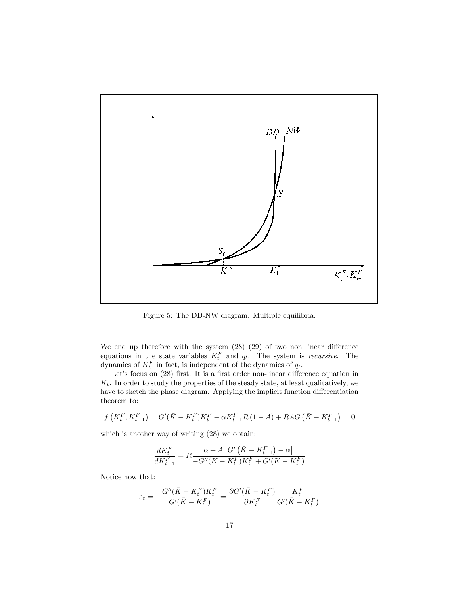

Figure 5: The DD-NW diagram. Multiple equilibria.

We end up therefore with the system  $(28)$   $(29)$  of two non linear difference equations in the state variables  $K_t^F$  and  $q_t$ . The system is *recursive*. The dynamics of  $K_t^F$  in fact, is independent of the dynamics of  $q_t$ .

Let's focus on (28) first. It is a first order non-linear difference equation in  $K_t$ . In order to study the properties of the steady state, at least qualitatively, we have to sketch the phase diagram. Applying the implicit function differentiation theorem to:

$$
f\left(K_t^F, K_{t-1}^F\right) = G'(\bar{K} - K_t^F)K_t^F - \alpha K_{t-1}^F R(1 - A) + RAG\left(\bar{K} - K_{t-1}^F\right) = 0
$$

which is another way of writing (28) we obtain:

$$
\frac{dK_t^F}{dK_{t-1}^F}=R\frac{\alpha +A\left[G'\left(\bar{K}-K_{t-1}^F\right)-\alpha\right]}{-G''(\bar{K}-K_t^F)K_t^F+G'(\bar{K}-K_t^F)}
$$

Notice now that:

$$
\varepsilon_t = -\frac{G''(\bar{K}-K_t^F)K_t^F}{G'(\bar{K}-K_t^F)} = \frac{\partial G'(\bar{K}-K_t^F)}{\partial K_t^F}\frac{K_t^F}{G'(\bar{K}-K_t^F)}
$$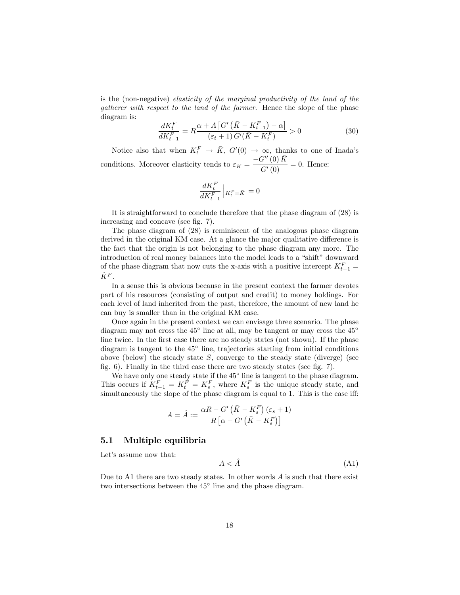is the (non-negative) elasticity of the marginal productivity of the land of the gatherer with respect to the land of the farmer. Hence the slope of the phase diagram is:

$$
\frac{dK_t^F}{dK_{t-1}^F} = R\frac{\alpha + A\left[G'\left(\bar{K} - K_{t-1}^F\right) - \alpha\right]}{\left(\varepsilon_t + 1\right)G'\left(\bar{K} - K_t^F\right)} > 0\tag{30}
$$

Notice also that when  $K_t^F \to \bar{K}$ ,  $G'(0) \to \infty$ , thanks to one of Inada's conditions. Moreover elasticity tends to  $\varepsilon_{\bar{K}} =$  $-G^{\prime\prime}\left(0\right)\bar{K}$  $\frac{G'(0)^{11}}{G'(0)} = 0$ . Hence:

$$
\frac{dK_t^F}{dK_{t-1}^F}\left|_{K_t^F=\bar{K}}\right.=0
$$

It is straightforward to conclude therefore that the phase diagram of (28) is increasing and concave (see fig. 7).

The phase diagram of (28) is reminiscent of the analogous phase diagram derived in the original KM case. At a glance the major qualitative difference is the fact that the origin is not belonging to the phase diagram any more. The introduction of real money balances into the model leads to a "shift" downward of the phase diagram that now cuts the x-axis with a positive intercept  $K_{t-1}^F =$  $\hat{K}^F$  .

In a sense this is obvious because in the present context the farmer devotes part of his resources (consisting of output and credit) to money holdings. For each level of land inherited from the past, therefore, the amount of new land he can buy is smaller than in the original KM case.

Once again in the present context we can envisage three scenario. The phase diagram may not cross the 45<sup>°</sup> line at all, may be tangent or may cross the 45<sup>°</sup> line twice. In the first case there are no steady states (not shown). If the phase diagram is tangent to the 45<sup>°</sup> line, trajectories starting from initial conditions above (below) the steady state  $S$ , converge to the steady state (diverge) (see fig. 6). Finally in the third case there are two steady states (see fig. 7).

We have only one steady state if the 45<sup>°</sup> line is tangent to the phase diagram. This occurs if  $K_{t-1}^F = K_t^F = K_s^F$ , where  $K_s^F$  is the unique steady state, and simultaneously the slope of the phase diagram is equal to 1. This is the case iff:

$$
A = \hat{A} := \frac{\alpha R - G'\left(\bar{K} - K_s^F\right)\left(\varepsilon_s + 1\right)}{R\left[\alpha - G'\left(\bar{K} - K_s^F\right)\right]}
$$

#### 5.1 Multiple equilibria

Let's assume now that:

$$
A < \hat{A} \tag{A1}
$$

Due to A1 there are two steady states. In other words  $A$  is such that there exist two intersections between the  $45^{\circ}$  line and the phase diagram.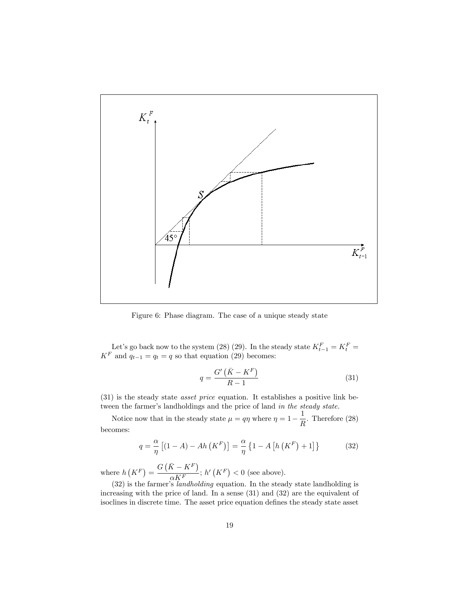

Figure 6: Phase diagram. The case of a unique steady state

Let's go back now to the system (28) (29). In the steady state  $K_{t-1}^F = K_t^F =$  $K^F$  and  $q_{t-1} = q_t = q$  so that equation (29) becomes:

$$
q = \frac{G'\left(\bar{K} - K^F\right)}{R - 1} \tag{31}
$$

(31) is the steady state asset price equation. It establishes a positive link between the farmer's landholdings and the price of land in the steady state.

Notice now that in the steady state  $\mu = q\eta$  where  $\eta = 1 - \frac{1}{\tau}$  $\frac{1}{R}$ . Therefore (28) becomes:

$$
q = \frac{\alpha}{\eta} \left[ (1 - A) - Ah\left(K^F\right) \right] = \frac{\alpha}{\eta} \left\{ 1 - A \left[ h\left(K^F\right) + 1 \right] \right\} \tag{32}
$$

where  $h(K^F) = \frac{G(\bar{K} - K^F)}{K^F}$  $\frac{K-K}{\alpha K^F}$ ; h'  $(K^F) < 0$  (see above).

 $(32)$  is the farmer's *landholding* equation. In the steady state landholding is increasing with the price of land. In a sense (31) and (32) are the equivalent of isoclines in discrete time. The asset price equation defines the steady state asset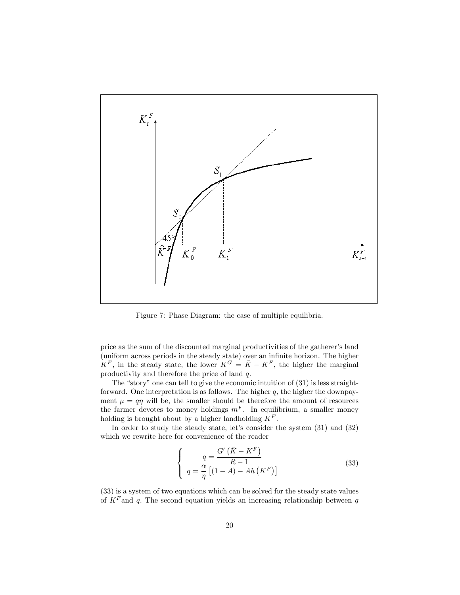

Figure 7: Phase Diagram: the case of multiple equilibria.

price as the sum of the discounted marginal productivities of the gatherer's land (uniform across periods in the steady state) over an infinite horizon. The higher  $KF$ , in the steady state, the lower  $K^G = \overline{K} - K^F$ , the higher the marginal productivity and therefore the price of land q.

The "story" one can tell to give the economic intuition of  $(31)$  is less straightforward. One interpretation is as follows. The higher  $q$ , the higher the downpayment  $\mu = q\eta$  will be, the smaller should be therefore the amount of resources the farmer devotes to money holdings  $m<sup>F</sup>$ . In equilibrium, a smaller money holding is brought about by a higher landholding  $K^F$ .

In order to study the steady state, let's consider the system  $(31)$  and  $(32)$ which we rewrite here for convenience of the reader

$$
\begin{cases}\nq = \frac{G'\left(\bar{K} - K^F\right)}{R - 1} \\
q = \frac{\alpha}{\eta} \left[ (1 - A) - Ah\left(K^F\right) \right]\n\end{cases} \tag{33}
$$

(33) is a system of two equations which can be solved for the steady state values of  $K<sup>F</sup>$  and q. The second equation yields an increasing relationship between q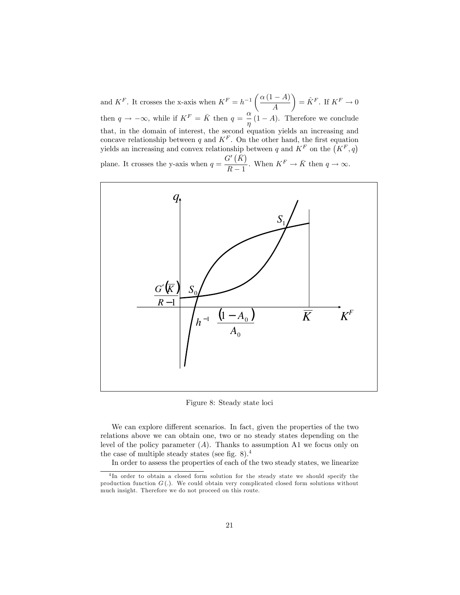and  $K^F$ . It crosses the x-axis when  $K^F = h^{-1} \left( \frac{\alpha (1-A)}{4} \right)$ A  $\Big) = \hat{K}^F$ . If  $K^F \to 0$ then  $q \to -\infty$ , while if  $K^F = \overline{K}$  then  $q = \frac{\alpha}{\overline{K}}$  $\frac{\alpha}{\eta}$  (1 – A). Therefore we conclude that, in the domain of interest, the second equation yields an increasing and concave relationship between q and  $K^F$ . On the other hand, the first equation yields an increasing and convex relationship between q and  $K^F$  on the  $(K^F, q)$ plane. It crosses the y-axis when  $q = \frac{G'(\bar{K})}{R}$  $\frac{d^{r}(K)}{R-1}$ . When  $K^{F} \to \overline{K}$  then  $q \to \infty$ .



Figure 8: Steady state loci

We can explore different scenarios. In fact, given the properties of the two relations above we can obtain one, two or no steady states depending on the level of the policy parameter  $(A)$ . Thanks to assumption A1 we focus only on the case of multiple steady states (see fig.  $8$ ).<sup>4</sup>

In order to assess the properties of each of the two steady states, we linearize

<sup>&</sup>lt;sup>4</sup>In order to obtain a closed form solution for the steady state we should specify the production function  $G(.)$ . We could obtain very complicated closed form solutions without much insight. Therefore we do not proceed on this route.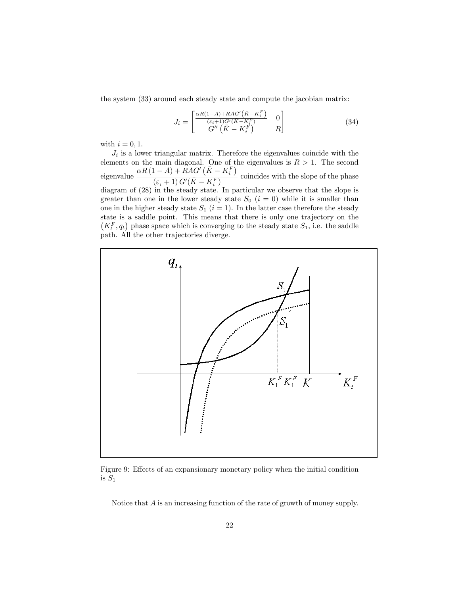the system (33) around each steady state and compute the jacobian matrix:

$$
J_i = \begin{bmatrix} \frac{\alpha R (1 - A) + R A G' (\bar{K} - K_i^F)}{(\varepsilon_i + 1) G' (\bar{K} - K_i^F)} & 0\\ G'' (\bar{K} - K_i^F) & R \end{bmatrix}
$$
(34)

with  $i = 0, 1$ .

 $J_i$  is a lower triangular matrix. Therefore the eigenvalues coincide with the elements on the main diagonal. One of the eigenvalues is  $R > 1$ . The second eigenvalue  $\frac{\alpha R (1-A) + \tilde{R} A G' (\bar{K}-K_i^F)}{A (1-A) G' (\bar{K}-K_i^F)}$  $\frac{(e_i + 1)G}{(f_i + 1)G'}$  coincides with the slope of the phase diagram of (28) in the steady state. In particular we observe that the slope is greater than one in the lower steady state  $S_0$   $(i = 0)$  while it is smaller than one in the higher steady state  $S_1$  ( $i = 1$ ). In the latter case therefore the steady state is a saddle point. This means that there is only one trajectory on the  $(K_t^F, q_t)$  phase space which is converging to the steady state  $S_1$ , i.e. the saddle path. All the other trajectories diverge.



Figure 9: Effects of an expansionary monetary policy when the initial condition is  $S_1$ 

Notice that A is an increasing function of the rate of growth of money supply.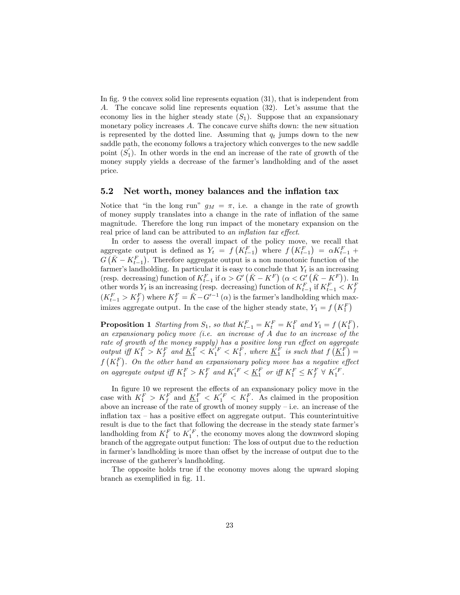In fig. 9 the convex solid line represents equation (31), that is independent from A. The concave solid line represents equation (32). Let's assume that the economy lies in the higher steady state  $(S_1)$ . Suppose that an expansionary monetary policy increases A. The concave curve shifts down: the new situation is represented by the dotted line. Assuming that  $q_t$  jumps down to the new saddle path, the economy follows a trajectory which converges to the new saddle point  $(S_1)$ 1 ). In other words in the end an increase of the rate of growth of the money supply yields a decrease of the farmer's landholding and of the asset price.

#### 5.2 Net worth, money balances and the inflation tax

Notice that "in the long run"  $g_M = \pi$ , i.e. a change in the rate of growth of money supply translates into a change in the rate of inflation of the same magnitude. Therefore the long run impact of the monetary expansion on the real price of land can be attributed to an inflation tax effect.

In order to assess the overall impact of the policy move, we recall that aggregate output is defined as  $Y_t = f\left(K_{t-1}^F\right)$  where  $f\left(K_{t-1}^F\right) = \alpha K_{t-1}^F +$  $G\left(\bar{K}-K_{t-1}^F\right)$ . Therefore aggregate output is a non monotonic function of the farmer's landholding. In particular it is easy to conclude that  $Y_t$  is an increasing (resp. decreasing) function of  $K_{t-1}^F$  if  $\alpha > G'(\bar{K} - K^F)$   $(\alpha < G'(\bar{K} - K^F))$ . In other words  $Y_t$  is an increasing (resp. decreasing) function of  $K_{t-1}^F$  if  $K_{t-1}^F < K_f^F$  $(K_{t-1}^F > K_f^F)$  where  $K_f^F = \bar{K} - G'^{-1}(\alpha)$  is the farmer's landholding which maximizes aggregate output. In the case of the higher steady state,  $Y_1 = f\left(K_1^F\right)$ 

**Proposition 1** Starting from  $S_1$ , so that  $K_{t-1}^F = K_t^F = K_1^F$  and  $Y_1 = f(K_1^F)$ , an expansionary policy move (i.e. an increase of A due to an increase of the rate of growth of the money supply) has a positive long run effect on aggregate output iff  $K_1^F > K_f^F$  and  $\underline{K_1^F} < K_1^F$ , where  $\underline{K_1^F}$  is such that  $f(\underline{K_1^F}) =$  $f(K_1^F)$ . On the other hand an expansionary policy move has a negative effect on aggregate output iff  $K_1^F > K_f^F$  and  $K_1^{'F} < \underline{K_1^F}$  or iff  $K_1^F \leq K_f^F \forall K_1^{'F}$ .

In figure 10 we represent the effects of an expansionary policy move in the case with  $K_1^F > K_f^F$  and  $K_1^F < K_1^{'F} < K_1^F$ . As claimed in the proposition above an increase of the rate of growth of money supply  $-$  i.e. an increase of the inflation  $tax - has$  a positive effect on aggregate output. This counterintuitive result is due to the fact that following the decrease in the steady state farmer's landholding from  $K_1^F$  to  $K_1^{'F}$ , the economy moves along the downword sloping branch of the aggregate output function: The loss of output due to the reduction in farmer's landholding is more than offset by the increase of output due to the increase of the gatherer's landholding.

The opposite holds true if the economy moves along the upward sloping branch as exemplified in fig. 11.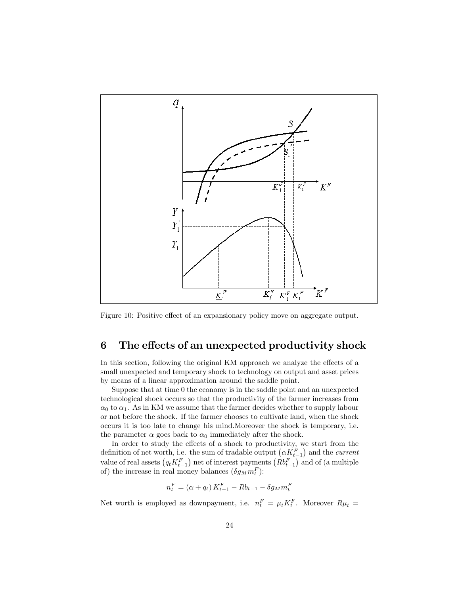

Figure 10: Positive effect of an expansionary policy move on aggregate output.

# 6 The effects of an unexpected productivity shock

In this section, following the original KM approach we analyze the effects of a small unexpected and temporary shock to technology on output and asset prices by means of a linear approximation around the saddle point.

Suppose that at time 0 the economy is in the saddle point and an unexpected technological shock occurs so that the productivity of the farmer increases from  $\alpha_0$  to  $\alpha_1$ . As in KM we assume that the farmer decides whether to supply labour or not before the shock. If the farmer chooses to cultivate land, when the shock occurs it is too late to change his mind.Moreover the shock is temporary, i.e. the parameter  $\alpha$  goes back to  $\alpha_0$  immediately after the shock.

In order to study the effects of a shock to productivity, we start from the definition of net worth, i.e. the sum of tradable output  $(\alpha K_{t-1}^F)$  and the *current* value of real assets  $(q_t K_{t-1}^F)$  net of interest payments  $(Rb_{t-1}^F)$  and of (a multiple of) the increase in real money balances  $(\delta g_M m_t^F)$ :

$$
n_t^F = (\alpha + q_t) K_{t-1}^F - R b_{t-1} - \delta g_M m_t^F
$$

Net worth is employed as downpayment, i.e.  $n_t^F = \mu_t K_t^F$ . Moreover  $R\mu_t =$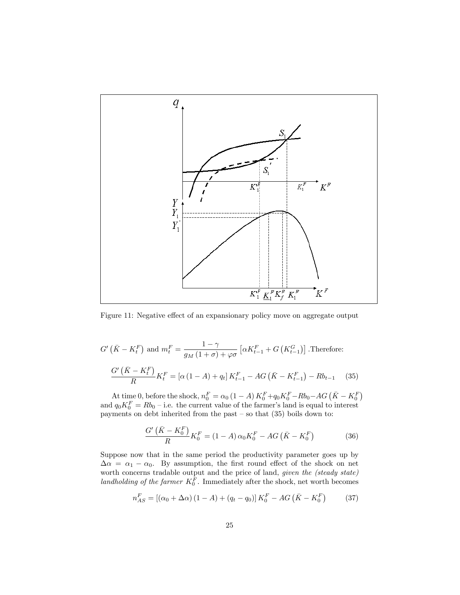

Figure 11: Negative effect of an expansionary policy move on aggregate output

$$
G'\left(\bar{K} - K_t^F\right) \text{ and } m_t^F = \frac{1 - \gamma}{g_M \left(1 + \sigma\right) + \varphi \sigma} \left[\alpha K_{t-1}^F + G\left(K_{t-1}^G\right)\right]. \text{Therefore:}
$$
\n
$$
\frac{G'\left(\bar{K} - K_t^F\right)}{R} K_t^F = \left[\alpha \left(1 - A\right) + q_t\right] K_{t-1}^F - AG\left(\bar{K} - K_{t-1}^F\right) - R b_{t-1} \tag{35}
$$

At time 0, before the shock,  $n_0^F = \alpha_0 (1 - A) K_0^F + q_0 K_0^F - R b_0 - A G \left( \bar{K} - K_0^F \right)$ and  $q_0 K_0^F = R b_0 - i.e.$  the current value of the farmer's land is equal to interest payments on debt inherited from the past  $-$  so that  $(35)$  boils down to:

$$
\frac{G'\left(\bar{K} - K_0^F\right)}{R} K_0^F = (1 - A)\,\alpha_0 K_0^F - AG\left(\bar{K} - K_0^F\right) \tag{36}
$$

Suppose now that in the same period the productivity parameter goes up by  $\Delta \alpha = \alpha_1 - \alpha_0$ . By assumption, the first round effect of the shock on net worth concerns tradable output and the price of land, given the (steady state) landholding of the farmer  $K_0^F$ . Immediately after the shock, net worth becomes

$$
n_{AS}^{F} = [(\alpha_0 + \Delta \alpha)(1 - A) + (q_t - q_0)]K_0^{F} - AG\left(\bar{K} - K_0^{F}\right) \tag{37}
$$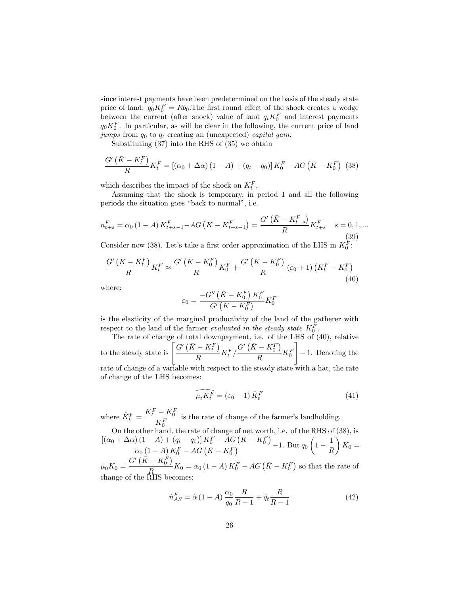since interest payments have been predetermined on the basis of the steady state price of land:  $q_0 K_0^F = R b_0$ . The first round effect of the shock creates a wedge between the current (after shock) value of land  $q_t K_0^F$  and interest payments  $q_0K_0^F$ . In particular, as will be clear in the following, the current price of land jumps from  $q_0$  to  $q_t$  creating an (unexpected) capital gain.

Substituting (37) into the RHS of (35) we obtain

$$
\frac{G'\left(\bar{K} - K_t^F\right)}{R} K_t^F = \left[ (\alpha_0 + \Delta \alpha) \left(1 - A\right) + \left(q_t - q_0\right) \right] K_0^F - AG\left(\bar{K} - K_0^F\right) (38)
$$

which describes the impact of the shock on  $K_t^F$ .

Assuming that the shock is temporary, in period 1 and all the following periods the situation goes "back to normal", i.e.

$$
n_{t+s}^F = \alpha_0 \left(1 - A\right) K_{t+s-1}^F - AG\left(\bar{K} - K_{t+s-1}^F\right) = \frac{G'\left(\bar{K} - K_{t+s}^F\right)}{R} K_{t+s}^F \quad s = 0, 1, \dots
$$
\n(39)

Consider now (38). Let's take a first order approximation of the LHS in  $K_0^F$ :

$$
\frac{G'\left(\bar{K}-K_t^F\right)}{R}K_t^F \approx \frac{G'\left(\bar{K}-K_0^F\right)}{R}K_0^F + \frac{G'\left(\bar{K}-K_0^F\right)}{R}\left(\varepsilon_0+1\right)\left(K_t^F-K_0^F\right) \tag{40}
$$

where:

$$
\varepsilon_0 = \frac{-G''\left(\bar{K} - K_0^F\right)K_0^F}{G'\left(\bar{K} - K_0^F\right)}K_0^F
$$

is the elasticity of the marginal productivity of the land of the gatherer with respect to the land of the farmer evaluated in the steady state  $K_0^F$ .

The rate of change of total downpayment, i.e. of the LHS of (40), relative to the steady state is  $\left[ \frac{G'(\bar{K} - K_t^F)}{D} \right]$  $\frac{K}{R}$   $K_t^F /$  $G'\left(\bar{K}-K_0^F\right)$  $\frac{K_0}{R} K_0^F$  $\overline{1}$  $-1.$  Denoting the rate of change of a variable with respect to the steady state with a hat, the rate of change of the LHS becomes:

$$
\widehat{\mu_t K_t^F} = (\varepsilon_0 + 1) \hat{K}_t^F \tag{41}
$$

where  $\hat K^F_t =$  $\frac{K_t^F-K_0^F}{K_0^F}$ is the rate of change of the farmer's landholding.

On the other hand, the rate of change of net worth, i.e. of the RHS of (38), is  $[(\alpha_0 + \Delta \alpha)(1 - A) + (q_t - q_0)] K_0^F - AG (\overline{K} - K_0^F)$  $\frac{1}{\left(1-A\right)+\left(q_{t}-q_{0}\right)\right]K_{0}^{F}-AG\left(\bar{K}-K_{0}^{F}\right)}{a_{0}\left(1-A\right)K_{0}^{F}-AG\left(\bar{K}-K_{0}^{F}\right)}-1.\text{ But }q_{0}\left(1-\frac{1}{K}\right)$ R  $\setminus$  $K_0 =$  $G^{\prime}\left( \bar{K}-K_{0}^{F}\right)$ 

 $\mu_0 K_0 =$  $\frac{(-R_0 - R_0)}{R_0 - R_0} K_0 = \alpha_0 (1 - A) K_0^F - AG \left( \bar{K} - K_0^F \right)$  so that the rate of change of the RHS becomes:

$$
\hat{n}_{AS}^F = \hat{\alpha} \left( 1 - A \right) \frac{\alpha_0}{q_0} \frac{R}{R - 1} + \hat{q}_t \frac{R}{R - 1} \tag{42}
$$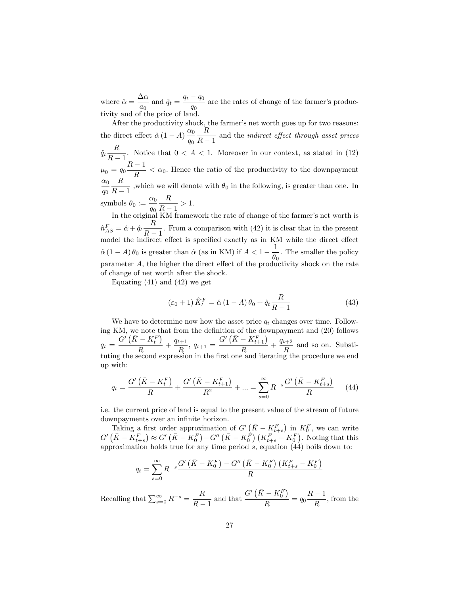where  $\hat{\alpha} = \frac{\Delta \alpha}{\sqrt{\alpha}}$  $\frac{\Delta \alpha}{a_0}$  and  $\hat{q}_t = \frac{q_t - q_0}{q_0}$  $\frac{q_0}{q_0}$  are the rates of change of the farmer's productivity and of the price of land.

After the productivity shock, the farmer's net worth goes up for two reasons: the direct effect  $\hat{\alpha} (1 - A) \frac{\alpha_0}{\alpha}$  $q_0$ R  $\frac{1}{R-1}$  and the *indirect effect through asset prices*  $\hat{q}_t \frac{R}{R}$  $\frac{1}{R-1}$ . Notice that  $0 < A < 1$ . Moreover in our context, as stated in (12)  $\mu_0 = q_0 \frac{R-1}{R}$  $\frac{1}{R} < \alpha_0$ . Hence the ratio of the productivity to the downpayment  $\alpha_0$  $q_0$ R  $\frac{1}{R-1}$ , which we will denote with  $\theta_0$  in the following, is greater than one. In symbols  $\theta_0 := \frac{\alpha_0}{a}$  $q_0$ R  $\frac{1}{R-1} > 1.$ In the original KM framework the rate of change of the farmer's net worth is

 $\hat{n}^F_{AS} = \hat{\alpha} + \hat{q}_t \frac{R}{R}$  $\frac{1}{R-1}$ . From a comparison with (42) it is clear that in the present model the indirect effect is specified exactly as in KM while the direct effect  $\hat{\alpha}$  (1 – A)  $\theta_0$  is greater than  $\hat{\alpha}$  (as in KM) if  $A < 1 - \frac{1}{\theta_0}$  $\frac{1}{\theta_0}$ . The smaller the policy parameter  $A$ , the higher the direct effect of the productivity shock on the rate of change of net worth after the shock.

Equating  $(41)$  and  $(42)$  we get

$$
(\varepsilon_0 + 1) \hat{K}_t^F = \hat{\alpha} (1 - A) \theta_0 + \hat{q}_t \frac{R}{R - 1}
$$
 (43)

We have to determine now how the asset price  $q_t$  changes over time. Following KM, we note that from the definition of the downpayment and (20) follows  $q_t = \frac{G'\left(\bar{K} - K_t^F\right)}{R}$  $\frac{(-K_t^F)}{R} + \frac{q_{t+1}}{R}$  $\frac{a+1}{R}$ ,  $q_{t+1} =$  $G'\left(\bar K - K_{t+1}^F\right)$  $\frac{-(K_{t+1}^F)}{R} + \frac{q_{t+2}}{R}$  $\frac{n+2}{R}$  and so on. Substituting the second expression in the first one and iterating the procedure we end up with:

$$
q_{t} = \frac{G'\left(\bar{K} - K_{t}^{F}\right)}{R} + \frac{G'\left(\bar{K} - K_{t+1}^{F}\right)}{R^{2}} + \dots = \sum_{s=0}^{\infty} R^{-s} \frac{G'\left(\bar{K} - K_{t+s}^{F}\right)}{R}
$$
(44)

i.e. the current price of land is equal to the present value of the stream of future downpayments over an infinite horizon.

Taking a first order approximation of  $G'(\bar{K} - K_{t+s}^F)$  in  $K_0^F$ , we can write  $G'\left(\bar{K} - K_{t+s}^F\right) \approx G'\left(\bar{K} - K_0^F\right) - G''\left(\bar{K} - K_0^F\right)\left(K_{t+s}^F - K_0^F\right)$ . Noting that this approximation holds true for any time period s, equation (44) boils down to:

$$
q_{t} = \sum_{s=0}^{\infty} R^{-s} \frac{G'\left(\bar{K} - K_{0}^{F}\right) - G''\left(\bar{K} - K_{0}^{F}\right)\left(K_{t+s}^{F} - K_{0}^{F}\right)}{R}
$$

Recalling that  $\sum_{s=0}^{\infty} R^{-s} = \frac{R}{R}$  $\frac{R}{R-1}$  and that  $\frac{G'\left(\bar{K} - K_0^F\right)}{R}$  $\frac{(K_0^F)}{R} = q_0 \frac{R-1}{R}$  $\frac{1}{R}$ , from the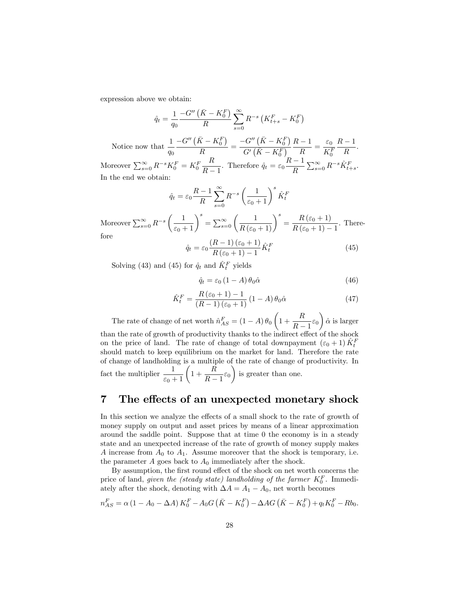expression above we obtain:

$$
\hat{q}_t = \frac{1}{q_0} \frac{-G''(\bar{K} - K_0^F)}{R} \sum_{s=0}^{\infty} R^{-s} (K_{t+s}^F - K_0^F)
$$

Notice now that  $\frac{1}{q_0}$  $-G''(\bar{K}-K_0^F)$  $\frac{\left(\bar{K}-K_{0}^{F}\right)}{R}=\frac{-G^{\prime\prime}\left(\bar{K}-K_{0}^{F}\right)}{G^{\prime}\left(\bar{K}-K_{0}^{F}\right)}$  $\overline{G'\left(\bar{K}-K_0^F\right)}$  $R-1$  $\frac{-1}{R} = \frac{\varepsilon_0}{K_0^T}$  $K_0^F$  $R-1$  $\frac{1}{R}$ . R

Moreover  $\sum_{s=0}^{\infty} R^{-s} K_0^F = K_0^F$  $\frac{R}{R-1}$ . Therefore  $\hat{q}_t = \varepsilon_0 \frac{R-1}{R}$ R  $\sum_{s=0}^{\infty} R^{-s} \hat{K}_{t+s}^F$ . In the end we obtain:

$$
\hat{q}_t = \varepsilon_0 \frac{R-1}{R} \sum_{s=0}^{\infty} R^{-s} \left(\frac{1}{\varepsilon_0 + 1}\right)^s \hat{K}_t^F
$$

Moreover  $\sum_{s=0}^{\infty} R^{-s} \left( \frac{1}{\varepsilon_0+1} \right)^s = \sum_{s=0}^{\infty} \left( \frac{1}{R(\varepsilon_0+1)} \right)^s = \frac{R(\varepsilon_0+1)}{R(\varepsilon_0+1)}$  $\frac{2\kappa(\varepsilon_0+1)}{R(\varepsilon_0+1)-1}$ . Therefore

$$
\hat{q}_t = \varepsilon_0 \frac{\left(R - 1\right)\left(\varepsilon_0 + 1\right)}{R\left(\varepsilon_0 + 1\right) - 1} \hat{K}_t^F \tag{45}
$$

Solving (43) and (45) for  $\hat{q}_t$  and  $\hat{K}^F_t$  yields

$$
\hat{q}_t = \varepsilon_0 \left( 1 - A \right) \theta_0 \hat{\alpha} \tag{46}
$$

$$
\hat{K}_t^F = \frac{R\left(\varepsilon_0 + 1\right) - 1}{\left(R - 1\right)\left(\varepsilon_0 + 1\right)} \left(1 - A\right) \theta_0 \hat{\alpha} \tag{47}
$$

The rate of change of net worth  $\hat{n}_{AS}^F = (1 - A) \theta_0$  $1+\frac{R}{R}$  $\frac{1}{R-1}\varepsilon_0$  $\setminus$  $\hat{\alpha}$  is larger than the rate of growth of productivity thanks to the indirect effect of the shock on the price of land. The rate of change of total downpayment  $(\varepsilon_0 + 1) \hat{K}^F_t$ should match to keep equilibrium on the market for land. Therefore the rate of change of landholding is a multiple of the rate of change of productivity. In fact the multiplier  $\frac{1}{\varepsilon_0 + 1} \left( 1 + \frac{R}{R - 1}\right)$  $\frac{1}{R-1}\varepsilon_0$  $\setminus$ is greater than one.

#### 7 The effects of an unexpected monetary shock

In this section we analyze the effects of a small shock to the rate of growth of money supply on output and asset prices by means of a linear approximation around the saddle point. Suppose that at time 0 the economy is in a steady state and an unexpected increase of the rate of growth of money supply makes A increase from  $A_0$  to  $A_1$ . Assume moreover that the shock is temporary, i.e. the parameter A goes back to  $A_0$  immediately after the shock.

By assumption, the first round effect of the shock on net worth concerns the price of land, given the (steady state) landholding of the farmer  $K_0^F$ . Immediately after the shock, denoting with  $\Delta A = A_1 - A_0$ , net worth becomes

$$
n_{AS}^F = \alpha (1 - A_0 - \Delta A) K_0^F - A_0 G (\bar{K} - K_0^F) - \Delta A G (\bar{K} - K_0^F) + q_t K_0^F - R b_0.
$$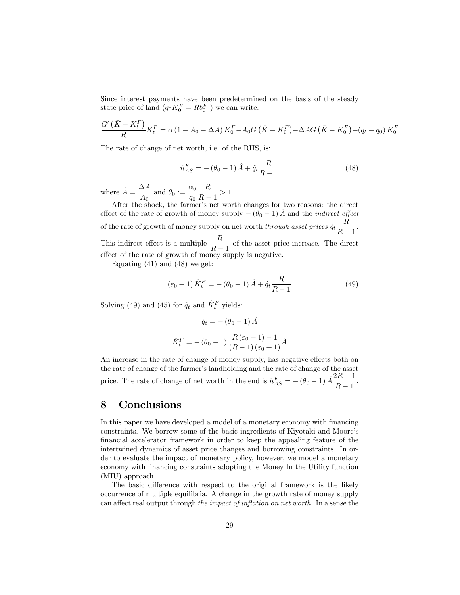Since interest payments have been predetermined on the basis of the steady state price of land  $(q_0 K_0^F = R b_0^F)$  we can write:

$$
\frac{G'\left(\bar{K} - K_t^F\right)}{R} K_t^F = \alpha \left(1 - A_0 - \Delta A\right) K_0^F - A_0 G\left(\bar{K} - K_0^F\right) - \Delta A G\left(\bar{K} - K_0^F\right) + \left(q_t - q_0\right) K_0^F
$$

The rate of change of net worth, i.e. of the RHS, is:

$$
\hat{n}_{AS}^F = -(\theta_0 - 1)\,\hat{A} + \hat{q}_t \frac{R}{R - 1} \tag{48}
$$

where  $\hat{A} = \frac{\Delta A}{4}$  $\frac{\Delta A}{A_0}$  and  $\theta_0 := \frac{\alpha_0}{q_0}$  $q_0$ R  $\frac{1}{R-1} > 1.$ 

After the shock, the farmer's net worth changes for two reasons: the direct effect of the rate of growth of money supply  $-(\theta_0 - 1)$  A and the *indirect effect* of the rate of growth of money supply on net worth *through asset prices*  $\hat{q}_t \frac{R}{R}$  $\frac{1}{R-1}$ . This indirect effect is a multiple  $\frac{R}{R-1}$  of the asset price increase. The direct effect of the rate of growth of money supply is negative.

Equating (41) and (48) we get:

$$
(\varepsilon_0 + 1)\hat{K}_t^F = -(\theta_0 - 1)\hat{A} + \hat{q}_t \frac{R}{R - 1}
$$
 (49)

Solving (49) and (45) for  $\hat{q}_t$  and  $\hat{K}^F_t$  yields:

$$
\hat{q}_t = -(\theta_0 - 1) \hat{A}
$$

$$
\hat{K}_t^F = -(\theta_0 - 1) \frac{R(\varepsilon_0 + 1) - 1}{(R - 1)(\varepsilon_0 + 1)} \hat{A}
$$

An increase in the rate of change of money supply, has negative effects both on the rate of change of the farmer's landholding and the rate of change of the asset price. The rate of change of net worth in the end is  $\hat{n}_{AS}^F = -(\theta_0 - 1) \hat{A} \frac{2R - 1}{R - 1}$  $\frac{1}{R-1}$ .

### 8 Conclusions

In this paper we have developed a model of a monetary economy with financing constraints. We borrow some of the basic ingredients of Kiyotaki and Moore's Önancial accelerator framework in order to keep the appealing feature of the intertwined dynamics of asset price changes and borrowing constraints. In order to evaluate the impact of monetary policy, however, we model a monetary economy with financing constraints adopting the Money In the Utility function (MIU) approach.

The basic difference with respect to the original framework is the likely occurrence of multiple equilibria. A change in the growth rate of money supply can affect real output through the impact of inflation on net worth. In a sense the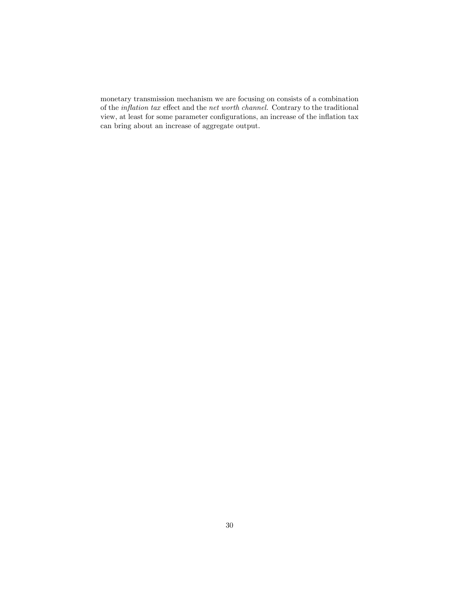monetary transmission mechanism we are focusing on consists of a combination of the inflation tax effect and the net worth channel. Contrary to the traditional view, at least for some parameter configurations, an increase of the inflation tax can bring about an increase of aggregate output.